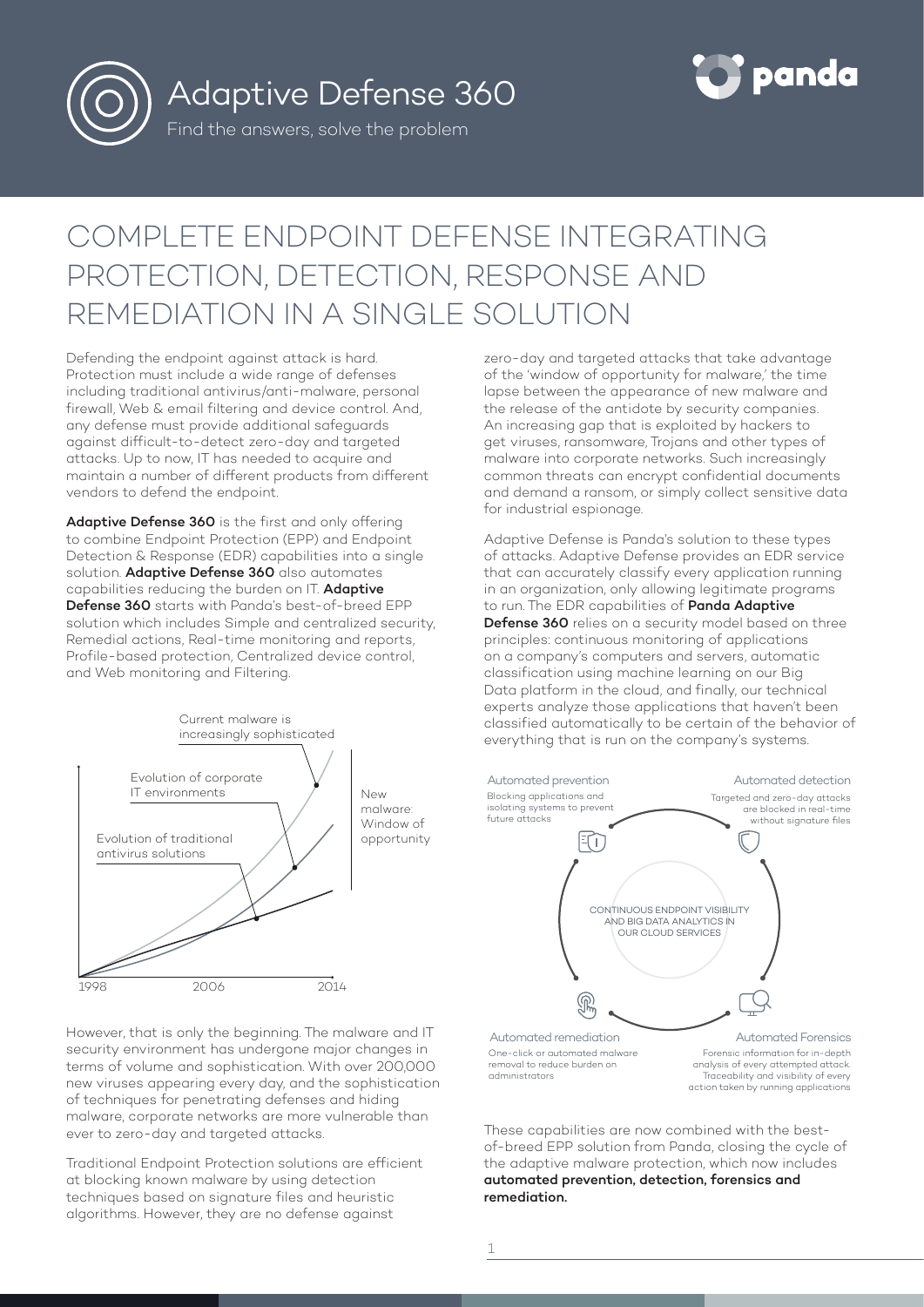

Adaptive Defense 360

Find the answers, solve the problem



# COMPLETE ENDPOINT DEFENSE INTEGRATING PROTECTION, DETECTION, RESPONSE AND REMEDIATION IN A SINGLE SOLUTION

Defending the endpoint against attack is hard. Protection must include a wide range of defenses including traditional antivirus/anti-malware, personal firewall, Web & email filtering and device control. And, any defense must provide additional safeguards against difficult-to-detect zero-day and targeted attacks. Up to now, IT has needed to acquire and maintain a number of different products from different vendors to defend the endpoint.

Adaptive Defense 360 is the first and only offering to combine Endpoint Protection (EPP) and Endpoint Detection & Response (EDR) capabilities into a single solution. Adaptive Defense 360 also automates capabilities reducing the burden on IT. Adaptive Defense 360 starts with Panda's best-of-breed EPP solution which includes Simple and centralized security, Remedial actions, Real-time monitoring and reports, Profile-based protection, Centralized device control, and Web monitoring and Filtering.



zero-day and targeted attacks that take advantage of the 'window of opportunity for malware,' the time lapse between the appearance of new malware and the release of the antidote by security companies. An increasing gap that is exploited by hackers to get viruses, ransomware, Trojans and other types of malware into corporate networks. Such increasingly common threats can encrypt confidential documents and demand a ransom, or simply collect sensitive data for industrial espionage.

Adaptive Defense is Panda's solution to these types of attacks. Adaptive Defense provides an EDR service that can accurately classify every application running in an organization, only allowing legitimate programs to run. The EDR capabilities of **Panda Adaptive** Defense 360 relies on a security model based on three principles: continuous monitoring of applications on a company's computers and servers, automatic classification using machine learning on our Big Data platform in the cloud, and finally, our technical experts analyze those applications that haven't been classified automatically to be certain of the behavior of everything that is run on the company's systems.



These capabilities are now combined with the bestof-breed EPP solution from Panda, closing the cycle of the adaptive malware protection, which now includes automated prevention, detection, forensics and remediation.

However, that is only the beginning. The malware and IT security environment has undergone major changes in terms of volume and sophistication. With over 200,000 new viruses appearing every day, and the sophistication of techniques for penetrating defenses and hiding malware, corporate networks are more vulnerable than ever to zero-day and targeted attacks.

Traditional Endpoint Protection solutions are efficient at blocking known malware by using detection techniques based on signature files and heuristic algorithms. However, they are no defense against